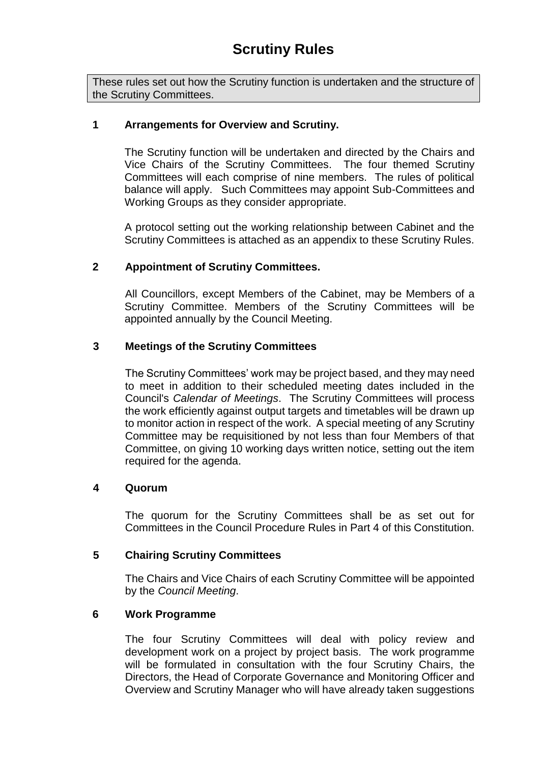These rules set out how the Scrutiny function is undertaken and the structure of the Scrutiny Committees.

# **1 Arrangements for Overview and Scrutiny.**

The Scrutiny function will be undertaken and directed by the Chairs and Vice Chairs of the Scrutiny Committees. The four themed Scrutiny Committees will each comprise of nine members. The rules of political balance will apply. Such Committees may appoint Sub-Committees and Working Groups as they consider appropriate.

A protocol setting out the working relationship between Cabinet and the Scrutiny Committees is attached as an appendix to these Scrutiny Rules.

# **2 Appointment of Scrutiny Committees.**

All Councillors, except Members of the Cabinet, may be Members of a Scrutiny Committee. Members of the Scrutiny Committees will be appointed annually by the Council Meeting.

# **3 Meetings of the Scrutiny Committees**

The Scrutiny Committees' work may be project based, and they may need to meet in addition to their scheduled meeting dates included in the Council's *Calendar of Meetings*. The Scrutiny Committees will process the work efficiently against output targets and timetables will be drawn up to monitor action in respect of the work. A special meeting of any Scrutiny Committee may be requisitioned by not less than four Members of that Committee, on giving 10 working days written notice, setting out the item required for the agenda.

# **4 Quorum**

The quorum for the Scrutiny Committees shall be as set out for Committees in the Council Procedure Rules in Part 4 of this Constitution.

# **5 Chairing Scrutiny Committees**

The Chairs and Vice Chairs of each Scrutiny Committee will be appointed by the *Council Meeting*.

# **6 Work Programme**

The four Scrutiny Committees will deal with policy review and development work on a project by project basis. The work programme will be formulated in consultation with the four Scrutiny Chairs, the Directors, the Head of Corporate Governance and Monitoring Officer and Overview and Scrutiny Manager who will have already taken suggestions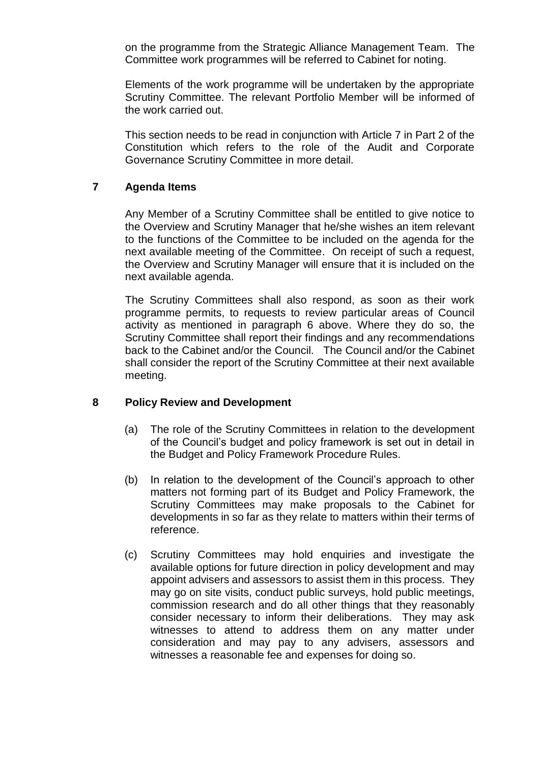on the programme from the Strategic Alliance Management Team. The Committee work programmes will be referred to Cabinet for noting.

Elements of the work programme will be undertaken by the appropriate Scrutiny Committee. The relevant Portfolio Member will be informed of the work carried out.

This section needs to be read in conjunction with Article 7 in Part 2 of the Constitution which refers to the role of the Audit and Corporate Governance Scrutiny Committee in more detail.

# **7 Agenda Items**

Any Member of a Scrutiny Committee shall be entitled to give notice to the Overview and Scrutiny Manager that he/she wishes an item relevant to the functions of the Committee to be included on the agenda for the next available meeting of the Committee. On receipt of such a request, the Overview and Scrutiny Manager will ensure that it is included on the next available agenda.

The Scrutiny Committees shall also respond, as soon as their work programme permits, to requests to review particular areas of Council activity as mentioned in paragraph 6 above. Where they do so, the Scrutiny Committee shall report their findings and any recommendations back to the Cabinet and/or the Council. The Council and/or the Cabinet shall consider the report of the Scrutiny Committee at their next available meeting.

# **8 Policy Review and Development**

- (a) The role of the Scrutiny Committees in relation to the development of the Council's budget and policy framework is set out in detail in the Budget and Policy Framework Procedure Rules.
- (b) In relation to the development of the Council's approach to other matters not forming part of its Budget and Policy Framework, the Scrutiny Committees may make proposals to the Cabinet for developments in so far as they relate to matters within their terms of reference.
- (c) Scrutiny Committees may hold enquiries and investigate the available options for future direction in policy development and may appoint advisers and assessors to assist them in this process. They may go on site visits, conduct public surveys, hold public meetings, commission research and do all other things that they reasonably consider necessary to inform their deliberations. They may ask witnesses to attend to address them on any matter under consideration and may pay to any advisers, assessors and witnesses a reasonable fee and expenses for doing so.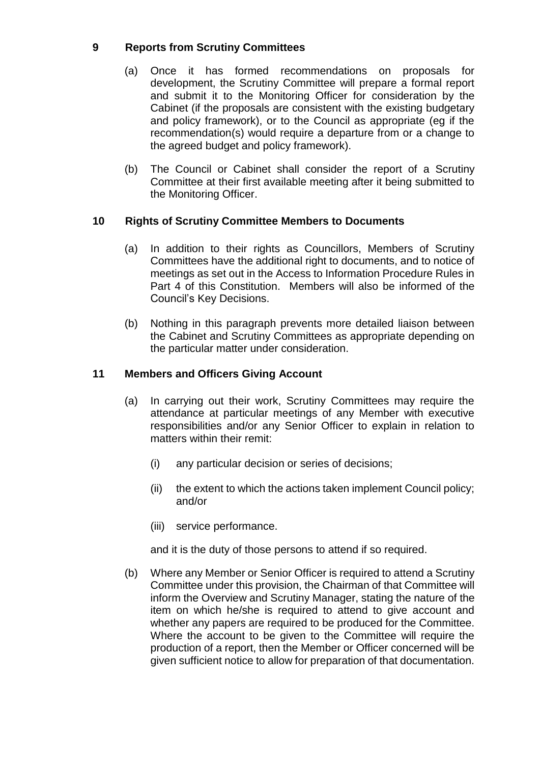# **9 Reports from Scrutiny Committees**

- (a) Once it has formed recommendations on proposals for development, the Scrutiny Committee will prepare a formal report and submit it to the Monitoring Officer for consideration by the Cabinet (if the proposals are consistent with the existing budgetary and policy framework), or to the Council as appropriate (eg if the recommendation(s) would require a departure from or a change to the agreed budget and policy framework).
- (b) The Council or Cabinet shall consider the report of a Scrutiny Committee at their first available meeting after it being submitted to the Monitoring Officer.

# **10 Rights of Scrutiny Committee Members to Documents**

- (a) In addition to their rights as Councillors, Members of Scrutiny Committees have the additional right to documents, and to notice of meetings as set out in the Access to Information Procedure Rules in Part 4 of this Constitution. Members will also be informed of the Council's Key Decisions.
- (b) Nothing in this paragraph prevents more detailed liaison between the Cabinet and Scrutiny Committees as appropriate depending on the particular matter under consideration.

# **11 Members and Officers Giving Account**

- (a) In carrying out their work, Scrutiny Committees may require the attendance at particular meetings of any Member with executive responsibilities and/or any Senior Officer to explain in relation to matters within their remit:
	- (i) any particular decision or series of decisions;
	- (ii) the extent to which the actions taken implement Council policy; and/or
	- (iii) service performance.

and it is the duty of those persons to attend if so required.

(b) Where any Member or Senior Officer is required to attend a Scrutiny Committee under this provision, the Chairman of that Committee will inform the Overview and Scrutiny Manager, stating the nature of the item on which he/she is required to attend to give account and whether any papers are required to be produced for the Committee. Where the account to be given to the Committee will require the production of a report, then the Member or Officer concerned will be given sufficient notice to allow for preparation of that documentation.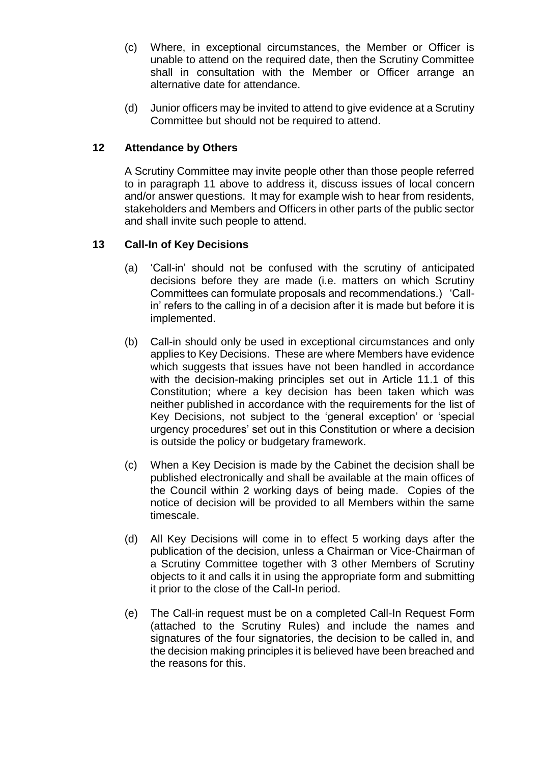- (c) Where, in exceptional circumstances, the Member or Officer is unable to attend on the required date, then the Scrutiny Committee shall in consultation with the Member or Officer arrange an alternative date for attendance.
- (d) Junior officers may be invited to attend to give evidence at a Scrutiny Committee but should not be required to attend.

# **12 Attendance by Others**

A Scrutiny Committee may invite people other than those people referred to in paragraph 11 above to address it, discuss issues of local concern and/or answer questions. It may for example wish to hear from residents, stakeholders and Members and Officers in other parts of the public sector and shall invite such people to attend.

# **13 Call-In of Key Decisions**

- (a) 'Call-in' should not be confused with the scrutiny of anticipated decisions before they are made (i.e. matters on which Scrutiny Committees can formulate proposals and recommendations.) 'Callin' refers to the calling in of a decision after it is made but before it is implemented.
- (b) Call-in should only be used in exceptional circumstances and only applies to Key Decisions. These are where Members have evidence which suggests that issues have not been handled in accordance with the decision-making principles set out in Article 11.1 of this Constitution; where a key decision has been taken which was neither published in accordance with the requirements for the list of Key Decisions, not subject to the 'general exception' or 'special urgency procedures' set out in this Constitution or where a decision is outside the policy or budgetary framework.
- (c) When a Key Decision is made by the Cabinet the decision shall be published electronically and shall be available at the main offices of the Council within 2 working days of being made. Copies of the notice of decision will be provided to all Members within the same timescale.
- (d) All Key Decisions will come in to effect 5 working days after the publication of the decision, unless a Chairman or Vice-Chairman of a Scrutiny Committee together with 3 other Members of Scrutiny objects to it and calls it in using the appropriate form and submitting it prior to the close of the Call-In period.
- (e) The Call-in request must be on a completed Call-In Request Form (attached to the Scrutiny Rules) and include the names and signatures of the four signatories, the decision to be called in, and the decision making principles it is believed have been breached and the reasons for this.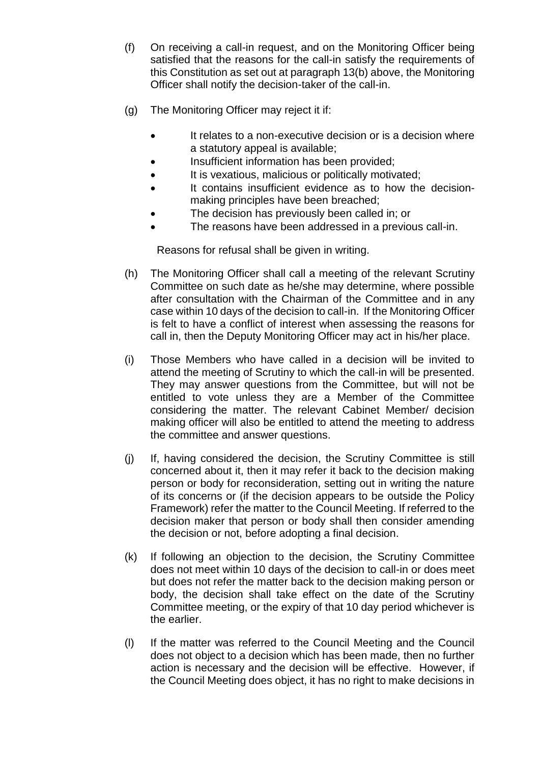- (f) On receiving a call-in request, and on the Monitoring Officer being satisfied that the reasons for the call-in satisfy the requirements of this Constitution as set out at paragraph 13(b) above, the Monitoring Officer shall notify the decision-taker of the call-in.
- (g) The Monitoring Officer may reject it if:
	- It relates to a non-executive decision or is a decision where a statutory appeal is available;
	- Insufficient information has been provided;
	- It is vexatious, malicious or politically motivated;
	- It contains insufficient evidence as to how the decisionmaking principles have been breached;
	- The decision has previously been called in; or
	- The reasons have been addressed in a previous call-in.

Reasons for refusal shall be given in writing.

- (h) The Monitoring Officer shall call a meeting of the relevant Scrutiny Committee on such date as he/she may determine, where possible after consultation with the Chairman of the Committee and in any case within 10 days of the decision to call-in. If the Monitoring Officer is felt to have a conflict of interest when assessing the reasons for call in, then the Deputy Monitoring Officer may act in his/her place.
- (i) Those Members who have called in a decision will be invited to attend the meeting of Scrutiny to which the call-in will be presented. They may answer questions from the Committee, but will not be entitled to vote unless they are a Member of the Committee considering the matter. The relevant Cabinet Member/ decision making officer will also be entitled to attend the meeting to address the committee and answer questions.
- (j) If, having considered the decision, the Scrutiny Committee is still concerned about it, then it may refer it back to the decision making person or body for reconsideration, setting out in writing the nature of its concerns or (if the decision appears to be outside the Policy Framework) refer the matter to the Council Meeting. If referred to the decision maker that person or body shall then consider amending the decision or not, before adopting a final decision.
- (k) If following an objection to the decision, the Scrutiny Committee does not meet within 10 days of the decision to call-in or does meet but does not refer the matter back to the decision making person or body, the decision shall take effect on the date of the Scrutiny Committee meeting, or the expiry of that 10 day period whichever is the earlier.
- (l) If the matter was referred to the Council Meeting and the Council does not object to a decision which has been made, then no further action is necessary and the decision will be effective. However, if the Council Meeting does object, it has no right to make decisions in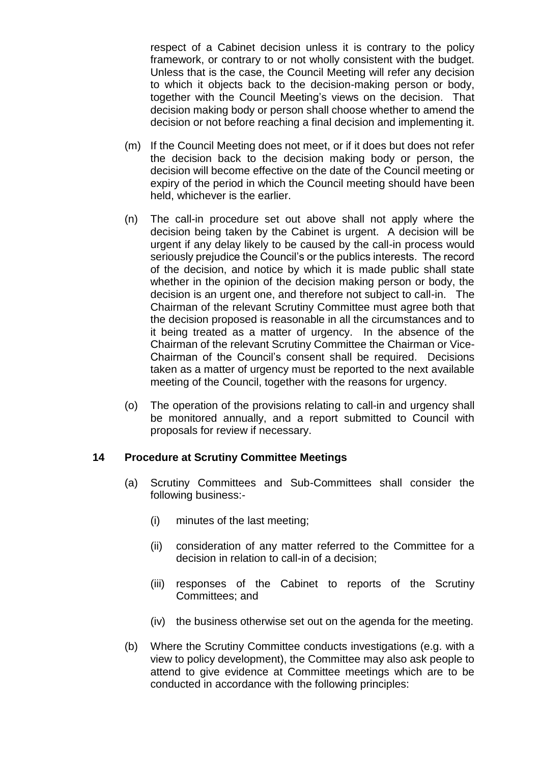respect of a Cabinet decision unless it is contrary to the policy framework, or contrary to or not wholly consistent with the budget. Unless that is the case, the Council Meeting will refer any decision to which it objects back to the decision-making person or body, together with the Council Meeting's views on the decision. That decision making body or person shall choose whether to amend the decision or not before reaching a final decision and implementing it.

- (m) If the Council Meeting does not meet, or if it does but does not refer the decision back to the decision making body or person, the decision will become effective on the date of the Council meeting or expiry of the period in which the Council meeting should have been held, whichever is the earlier.
- (n) The call-in procedure set out above shall not apply where the decision being taken by the Cabinet is urgent. A decision will be urgent if any delay likely to be caused by the call-in process would seriously prejudice the Council's or the publics interests. The record of the decision, and notice by which it is made public shall state whether in the opinion of the decision making person or body, the decision is an urgent one, and therefore not subject to call-in. The Chairman of the relevant Scrutiny Committee must agree both that the decision proposed is reasonable in all the circumstances and to it being treated as a matter of urgency. In the absence of the Chairman of the relevant Scrutiny Committee the Chairman or Vice-Chairman of the Council's consent shall be required. Decisions taken as a matter of urgency must be reported to the next available meeting of the Council, together with the reasons for urgency.
- (o) The operation of the provisions relating to call-in and urgency shall be monitored annually, and a report submitted to Council with proposals for review if necessary.

# **14 Procedure at Scrutiny Committee Meetings**

- (a) Scrutiny Committees and Sub-Committees shall consider the following business:-
	- (i) minutes of the last meeting;
	- (ii) consideration of any matter referred to the Committee for a decision in relation to call-in of a decision;
	- (iii) responses of the Cabinet to reports of the Scrutiny Committees; and
	- (iv) the business otherwise set out on the agenda for the meeting.
- (b) Where the Scrutiny Committee conducts investigations (e.g. with a view to policy development), the Committee may also ask people to attend to give evidence at Committee meetings which are to be conducted in accordance with the following principles: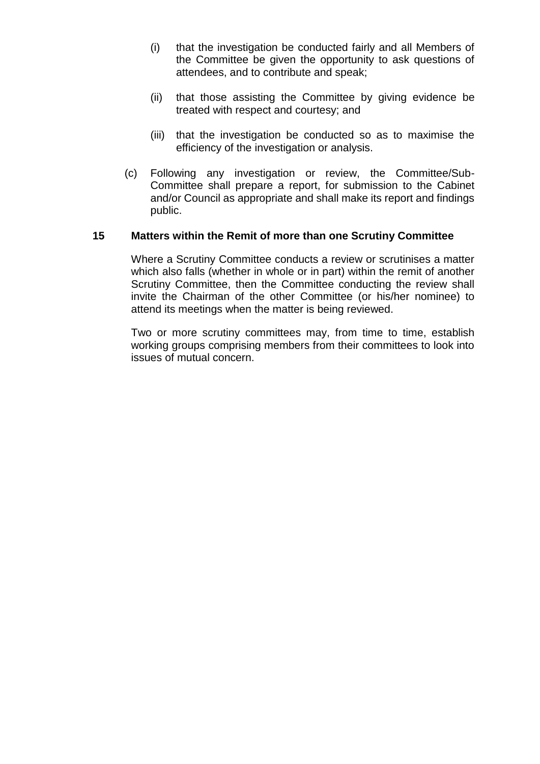- (i) that the investigation be conducted fairly and all Members of the Committee be given the opportunity to ask questions of attendees, and to contribute and speak;
- (ii) that those assisting the Committee by giving evidence be treated with respect and courtesy; and
- (iii) that the investigation be conducted so as to maximise the efficiency of the investigation or analysis.
- (c) Following any investigation or review, the Committee/Sub-Committee shall prepare a report, for submission to the Cabinet and/or Council as appropriate and shall make its report and findings public.

#### **15 Matters within the Remit of more than one Scrutiny Committee**

Where a Scrutiny Committee conducts a review or scrutinises a matter which also falls (whether in whole or in part) within the remit of another Scrutiny Committee, then the Committee conducting the review shall invite the Chairman of the other Committee (or his/her nominee) to attend its meetings when the matter is being reviewed.

Two or more scrutiny committees may, from time to time, establish working groups comprising members from their committees to look into issues of mutual concern.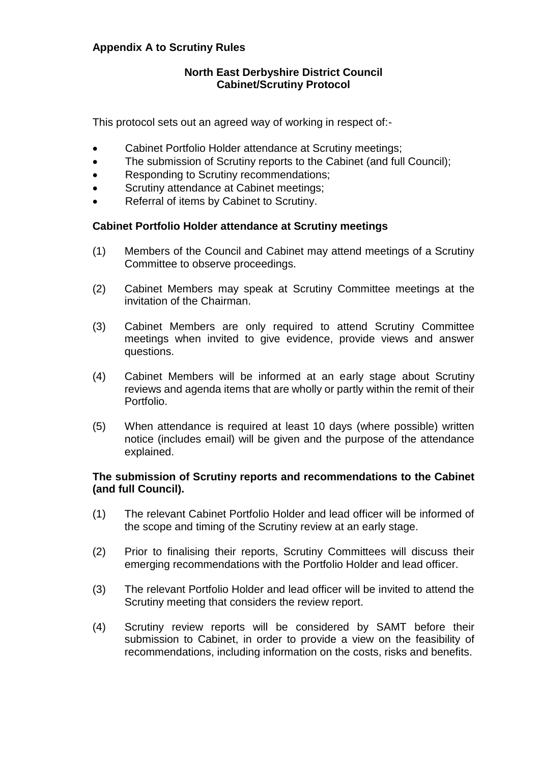# **Appendix A to Scrutiny Rules**

## **North East Derbyshire District Council Cabinet/Scrutiny Protocol**

This protocol sets out an agreed way of working in respect of:-

- Cabinet Portfolio Holder attendance at Scrutiny meetings;
- The submission of Scrutiny reports to the Cabinet (and full Council);
- Responding to Scrutiny recommendations;
- Scrutiny attendance at Cabinet meetings;
- Referral of items by Cabinet to Scrutiny.

#### **Cabinet Portfolio Holder attendance at Scrutiny meetings**

- (1) Members of the Council and Cabinet may attend meetings of a Scrutiny Committee to observe proceedings.
- (2) Cabinet Members may speak at Scrutiny Committee meetings at the invitation of the Chairman.
- (3) Cabinet Members are only required to attend Scrutiny Committee meetings when invited to give evidence, provide views and answer questions.
- (4) Cabinet Members will be informed at an early stage about Scrutiny reviews and agenda items that are wholly or partly within the remit of their Portfolio.
- (5) When attendance is required at least 10 days (where possible) written notice (includes email) will be given and the purpose of the attendance explained.

# **The submission of Scrutiny reports and recommendations to the Cabinet (and full Council).**

- (1) The relevant Cabinet Portfolio Holder and lead officer will be informed of the scope and timing of the Scrutiny review at an early stage.
- (2) Prior to finalising their reports, Scrutiny Committees will discuss their emerging recommendations with the Portfolio Holder and lead officer.
- (3) The relevant Portfolio Holder and lead officer will be invited to attend the Scrutiny meeting that considers the review report.
- (4) Scrutiny review reports will be considered by SAMT before their submission to Cabinet, in order to provide a view on the feasibility of recommendations, including information on the costs, risks and benefits.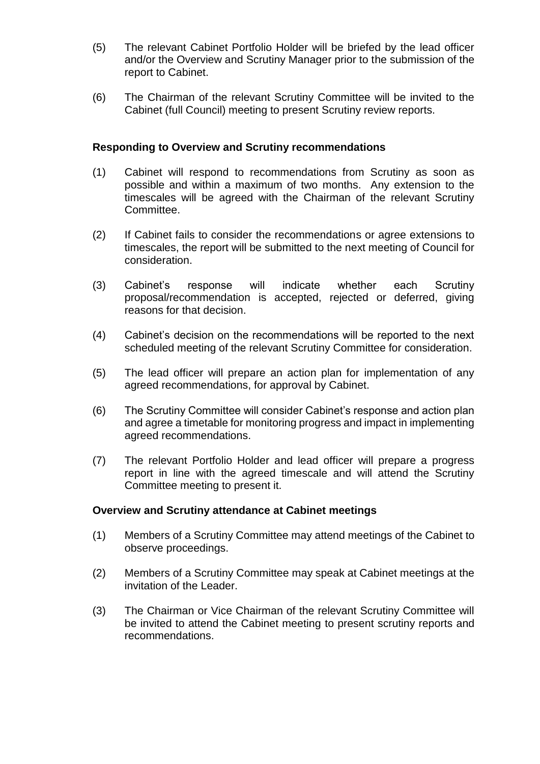- (5) The relevant Cabinet Portfolio Holder will be briefed by the lead officer and/or the Overview and Scrutiny Manager prior to the submission of the report to Cabinet.
- (6) The Chairman of the relevant Scrutiny Committee will be invited to the Cabinet (full Council) meeting to present Scrutiny review reports.

#### **Responding to Overview and Scrutiny recommendations**

- (1) Cabinet will respond to recommendations from Scrutiny as soon as possible and within a maximum of two months. Any extension to the timescales will be agreed with the Chairman of the relevant Scrutiny Committee.
- (2) If Cabinet fails to consider the recommendations or agree extensions to timescales, the report will be submitted to the next meeting of Council for consideration.
- (3) Cabinet's response will indicate whether each Scrutiny proposal/recommendation is accepted, rejected or deferred, giving reasons for that decision.
- (4) Cabinet's decision on the recommendations will be reported to the next scheduled meeting of the relevant Scrutiny Committee for consideration.
- (5) The lead officer will prepare an action plan for implementation of any agreed recommendations, for approval by Cabinet.
- (6) The Scrutiny Committee will consider Cabinet's response and action plan and agree a timetable for monitoring progress and impact in implementing agreed recommendations.
- (7) The relevant Portfolio Holder and lead officer will prepare a progress report in line with the agreed timescale and will attend the Scrutiny Committee meeting to present it.

#### **Overview and Scrutiny attendance at Cabinet meetings**

- (1) Members of a Scrutiny Committee may attend meetings of the Cabinet to observe proceedings.
- (2) Members of a Scrutiny Committee may speak at Cabinet meetings at the invitation of the Leader.
- (3) The Chairman or Vice Chairman of the relevant Scrutiny Committee will be invited to attend the Cabinet meeting to present scrutiny reports and recommendations.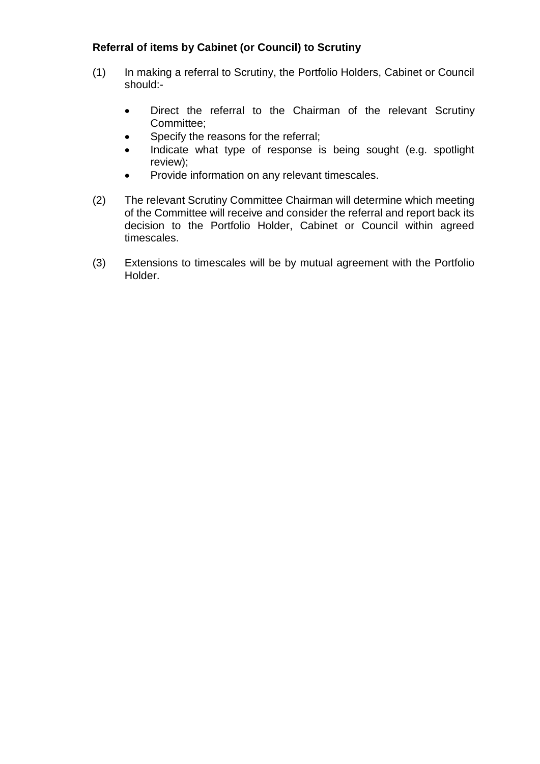# **Referral of items by Cabinet (or Council) to Scrutiny**

- (1) In making a referral to Scrutiny, the Portfolio Holders, Cabinet or Council should:-
	- Direct the referral to the Chairman of the relevant Scrutiny Committee;
	- Specify the reasons for the referral;
	- Indicate what type of response is being sought (e.g. spotlight review);
	- Provide information on any relevant timescales.
- (2) The relevant Scrutiny Committee Chairman will determine which meeting of the Committee will receive and consider the referral and report back its decision to the Portfolio Holder, Cabinet or Council within agreed timescales.
- (3) Extensions to timescales will be by mutual agreement with the Portfolio Holder.